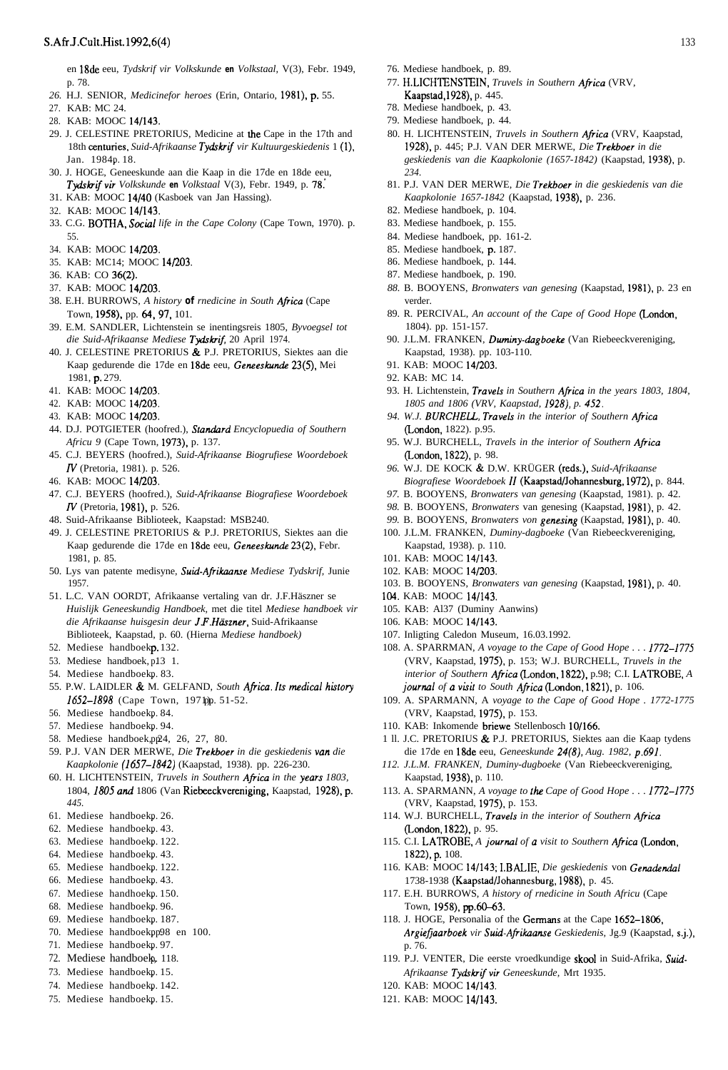## S.Afr.J.Cult.Hist.1992,6(4) 133

en 18de eeu, *Tydskrif vir Volkskunde* **en** *Volkstaal,* V(3), Febr. 1949, p. 78.

- *26.* H.J. SENIOR, *Medicinefor heroes* (Erin, Ontario, 1981), p. 55.
- 27. KAB: MC 24.
- 28. KAB: MOOC 14/143.
- 29. J. CELESTINE PRETORIUS, Medicine at the Cape in the 17th and 18th centuries, *Suid-Afrikaanse Tydskrif vir Kultuurgeskiedenis* 1 (l), Jan. 1984p. 18.
- 30. J. HOGE, Geneeskunde aan die Kaap in die 17de en 18de eeu, *Tydskrifvir Volkskunde* **en** *Volkstaal* V(3), Febr. 1949, p. 78:
- 31. KAB: MOOC 14/40 (Kasboek van Jan Hassing).
- 32. KAB: MOOC 14/143.
- 33. C.G. BOTHA, *Social life in the Cape Colony* (Cape Town, 1970). p. 55.
- 34. KAB: MOOC 14/203.
- 35. KAB: MC14; MOOC 14/203.
- 36. KAB: CO 36(2).
- 37. KAB: MOOC 14/203.
- 38. E.H. BURROWS, A history of rnedicine in South Africa (Cape Town, 1958). pp. 64,97, 101.
- 39. E.M. SANDLER, Lichtenstein se inentingsreis 1805, *Byvoegsel tot die Suid-Afrikaanse Mediese Tydskrif* 20 April 1974.
- 40. J. CELESTINE PRETORIUS & P.J. PRETORIUS, Siektes aan die Kaap gedurende die 17de en 18de eeu, Geneeskunde 23(5), Mei 1981, p. 279.
- 41. KAB: MOOC 14/203.
- 42. KAB: MOOC 14/203.
- 43. KAB: MOOC 14/203.
- 44. D.J. POTGIETER (hoofred.), *Stundzrd Encyclopuedia of Southern Africu 9* (Cape Town, 1973), p. 137.
- 45. C.J. BEYERS (hoofred.), *Suid-Afrikaanse Biogrufiese Woordeboek* N (Pretoria, 1981). p. 526.
- 46. KAB: MOOC 14/203.
- 47. C.J. BEYERS (hoofred.), *Suid-Afrikaanse Biografiese Woordeboek* N (Pretoria, 1981), p. 526.
- 48. Suid-Afrikaanse Biblioteek, Kaapstad: MSB240.
- 49. J. CELESTINE PRETORIUS & P.J. PRETORIUS, Siektes aan die Kaap gedurende die 17de en 18de eeu, Geneeskunde 23(2), Febr. 1981, p. 85.
- 50. Lys van patente medisyne, *Suid-Afrikuanse Mediese Tydskrif,* Junie 1957.
- 51. L.C. VAN OORDT, Afrikaanse vertaling van dr. J.F.Häszner se *Huislijk Geneeskundig Handboek,* met die titel *Mediese handboek vir die Afrikaanse huisgesin deur J.F.Hüszner,* Suid-Afrikaanse Biblioteek, Kaapstad, p. 60. (Hierna *Mediese handboek)*
- 52. Mediese handboekp. 132.
- 53. Mediese handboek, p13 1.
- 54. Mediese handboekp. 83.
- 55. P.W. LAIDLER & M. GELFAND, *South Afiicu. Its rnedical hutory* 1652-1898 (Cape Town, 197 bp. 51-52.
- 56. Mediese handboekp. 84.
- 57. Mediese handboekp. 94.
- 58. Mediese handboek, pp24, 26, 27, 80.
- 59. P.J. VAN DER MERWE, *Die Trekboer in die geskiedenis vun die Kaapkolonie (1657-1842)* (Kaapstad, 1938). pp. 226-230.
- 60. H. LICHTENSTEIN, *Truvels in Southern Africu in the years 1803,* 1804, 1805 and 1806 (Van Riebeeckvereniging, Kaapstad, 1928), p. *445.*
- 61. Mediese handboekp. 26.
- 62. Mediese handboekp. 43.
- 63. Mediese handboekp. 122.
- 64. Mediese handboekp. 43.
- 65. Mediese handboekp. 122.
- 66. Mediese handboekp. 43.
- 67. Mediese handhoekp. 150.
- 68. Mediese handboekp. 96.
- 69. Mediese handboekp. 187.
- 70. Mediese handboekpp98 en 100.
- 71. Mediese handboekp. 97.
- 72. Mediese handboek, 118.
- 73. Mediese handboekp. 15.
- 74. Mediese handboekp. 142.
- 75. Mediese handboekp. 15.
- 76. Mediese handboek, p. 89.
- 77. H.LICHTENSTEIN, *Truvels in Southern Africa* (VRV, Kaapstad,l928), p. 445.
- 78. Mediese handboek, p. 43.
- 79. Mediese handboek, p. 44.
- 80. H. LICHTENSTEIN, *Truvels in Southern Africa* (VRV, Kaapstad, 1928), p. 445; P.J. VAN DER MERWE, *Die Trekboer in die geskiedenis van die Kaapkolonie (1657-1842)* (Kaapstad, 1938), p. *234.*
- 81. P.J. VAN DER MERWE, *Die Trekboer in die geskiedenis van die Kaapkolonie 1657-1842* (Kaapstad, 1938). p. 236.
- 82. Mediese handboek, p. 104.
- 83. Mediese handboek, p. 155.
- 84. Mediese handboek, pp. 161-2.
- 85. Mediese handboek, p. 187.
- 86. Mediese handboek, p. 144.
- 87. Mediese handboek, p. 190.
- *88.* B. BOOYENS, *Bronwaters van genesing* (Kaapstad, 1981). p. 23 en verder.
- 89. R. PERCIVAL, *An account of the Cape of Good Hope* (Londen, 1804). pp. 151-157.
- 90. J.L.M. FRANKEN, *Duminy-dagboeke* (Van Riebeeckvereniging, Kaapstad, 1938). pp. 103-110.
- 91. KAB: MOOC 14/203.
- 92. KAB: MC 14.
- 93. H. Lichtenstein, *Travels in Southern Africa in the years 1803, 1804, 1805 and 1806 (VRV, Kaapstad, 1928), p. 452.*
- *94. W.J. BURCHELL, Travels in the interior of Southern Africa* (Londen, 1822). p.95.
- 95. W.J. BURCHELL, *Travels in the interior of Southern Africa* (Londen, 1822), p. 98.
- *96.* W.J. DE KOCK *&* D.W. KRÜGER (reds.), *Suid-Afrikaanse Biografiese Woordeboek II* (Kaapstad/Johannesburg, 1972), p. 844.
- *97.* B. BOOYENS, *Bronwaters van genesing* (Kaapstad, 1981). p. 42.
- *98.* B. BOOYENS, *Bronwaters* van genesing (Kaapstad, 1981), p. 42.
- *99.* B. BOOYENS, *Bronwaters von genesing* (Kaapstad, 1981). p. 40.
- 100. J.L.M. FRANKEN, *Duminy-dagboeke* (Van Riebeeckvereniging, Kaapstad, 1938). p. 110.
- 101. KAB: MOOC 14/143.
- 102. KAB: MOOC 14/203.
- 103. B. BOOYENS, *Bronwaters van genesing* (Kaapstad, 1981), p. 40.
- 104. KAB: MOOC 14/143.
- 105. KAB: Al37 (Duminy Aanwins)
- 106. KAB: MOOC 14/143.
- 107. Inligting Caledon Museum, 16.03.1992.
- 108. A. SPARRMAN, *A voyage to the Cape of Good Hope . . . 1772-1775* (VRV, Kaapstad, 1975), p. 153; W.J. BURCHELL, *Truvels in the interior of Southern Africu* (Londen, 1822). p.98; C.I. LATROBE, *A journal of a visit to South Africa* (London, 1821), p. 106.
- 109. A. SPARMANN, A *voyage to the Cape of Good Hope . 1772-1775* (VRV, Kaapstad, 1975). p. 153.
- 110. KAB: Inkomende briewe Stellenbosch 10/166.
- 1 ll. J.C. PRETORIUS & P.J. PRETORIUS, Siektes aan die Kaap tydens die 17de en 18de eeu, *Geneeskunde 24(8), Aug. 1982, p.691.*
- *112. J.L.M. FRANKEN, Duminy-dugboeke* (Van Riebeeckvereniging, Kaapstad, 1938), p. 110.
- 113. A. SPARMANN, *A voyage to the Cape of Good Hope . . . 1772-1775* (VRV, Kaapstad, 1975), p. 153.
- 114. W.J. BURCHELL, *Travels in the interior of Southern Africa* (London, 1822). p. 95.
- 115. C.I. LATROBE, *A journal of a visit to Southern Africa* (London, 1822), p. 108.
- 116. KAB: MOOC 14/143; I.BALIE, Die geskiedenis von Genadendal 1738-1938 (Kaapstad/Johannesburg, 1988), p. 45.
- 117. E.H. BURROWS, *A history of rnedicine in South Africu* (Cape Town, 1958), pp.60-63.
- 118. J. HOGE, Personalia of the Gemrans at the Cape 1652-1806, *Argiefiaarboek vir Suid-Afiikuanse Geskiedenis,* Jg.9 (Kaapstad, s.j.), p. 76.
- 119. P.J. VENTER, Die eerste vroedkundige skool in Suid-Afrika, Suid-Afrikaanse Tydskrif vir Geneeskunde, Mrt 1935.
- 120. KAB: MOOC 14/143.
- 121. KAB: MOOC 14/143.